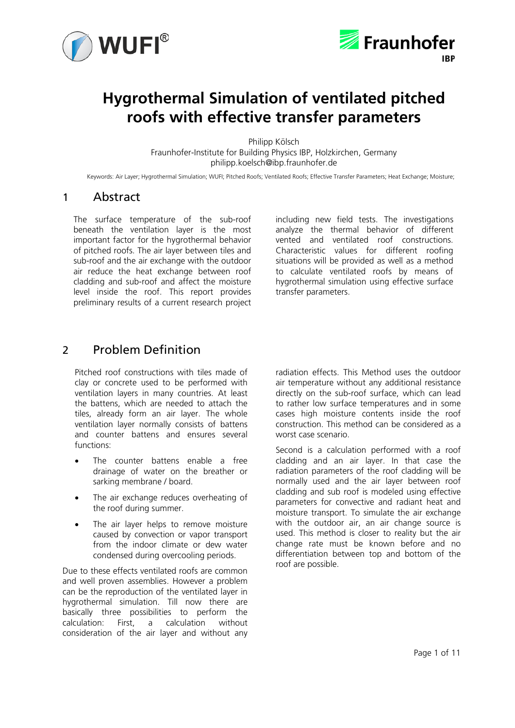



# **Hygrothermal Simulation of ventilated pitched roofs with effective transfer parameters**

Philipp Kölsch Fraunhofer-Institute for Building Physics IBP, Holzkirchen, Germany philipp.koelsch@ibp.fraunhofer.de

Keywords: Air Layer; Hygrothermal Simulation; WUFI; Pitched Roofs; Ventilated Roofs; Effective Transfer Parameters; Heat Exchange; Moisture;

# 1 Abstract

The surface temperature of the sub-roof beneath the ventilation layer is the most important factor for the hygrothermal behavior of pitched roofs. The air layer between tiles and sub-roof and the air exchange with the outdoor air reduce the heat exchange between roof cladding and sub-roof and affect the moisture level inside the roof. This report provides preliminary results of a current research project

including new field tests. The investigations analyze the thermal behavior of different vented and ventilated roof constructions. Characteristic values for different roofing situations will be provided as well as a method to calculate ventilated roofs by means of hygrothermal simulation using effective surface transfer parameters.

# 2 Problem Definition

Pitched roof constructions with tiles made of clay or concrete used to be performed with ventilation layers in many countries. At least the battens, which are needed to attach the tiles, already form an air layer. The whole ventilation layer normally consists of battens and counter battens and ensures several functions:

- The counter battens enable a free drainage of water on the breather or sarking membrane / board.
- The air exchange reduces overheating of the roof during summer.
- The air layer helps to remove moisture caused by convection or vapor transport from the indoor climate or dew water condensed during overcooling periods.

Due to these effects ventilated roofs are common and well proven assemblies. However a problem can be the reproduction of the ventilated layer in hygrothermal simulation. Till now there are basically three possibilities to perform the calculation: First, a calculation without consideration of the air layer and without any

radiation effects. This Method uses the outdoor air temperature without any additional resistance directly on the sub-roof surface, which can lead to rather low surface temperatures and in some cases high moisture contents inside the roof construction. This method can be considered as a worst case scenario.

Second is a calculation performed with a roof cladding and an air layer. In that case the radiation parameters of the roof cladding will be normally used and the air layer between roof cladding and sub roof is modeled using effective parameters for convective and radiant heat and moisture transport. To simulate the air exchange with the outdoor air, an air change source is used. This method is closer to reality but the air change rate must be known before and no differentiation between top and bottom of the roof are possible.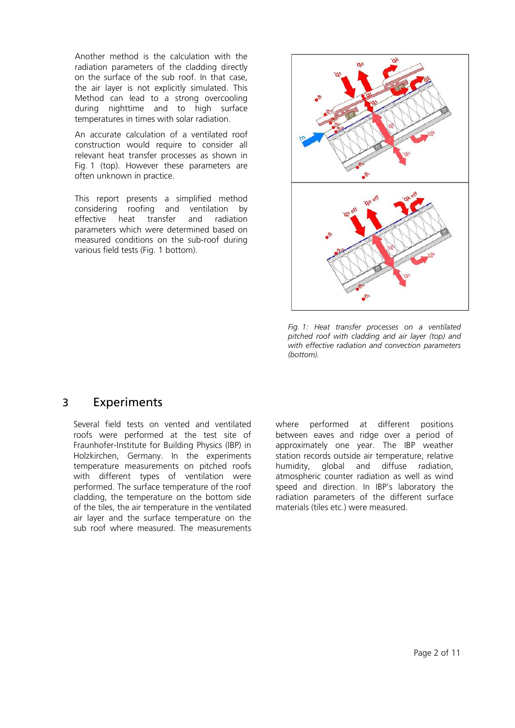Another method is the calculation with the radiation parameters of the cladding directly on the surface of the sub roof. In that case, the air layer is not explicitly simulated. This Method can lead to a strong overcooling during nighttime and to high surface temperatures in times with solar radiation.

An accurate calculation of a ventilated roof construction would require to consider all relevant heat transfer processes as shown in Fig. 1 (top). However these parameters are often unknown in practice.

This report presents a simplified method considering roofing and ventilation by effective heat transfer and radiation parameters which were determined based on measured conditions on the sub-roof during various field tests (Fig. 1 bottom).



*Fig. 1: Heat transfer processes on a ventilated pitched roof with cladding and air layer (top) and with effective radiation and convection parameters (bottom).* 

### 3 Experiments

Several field tests on vented and ventilated roofs were performed at the test site of Fraunhofer-Institute for Building Physics (IBP) in Holzkirchen, Germany. In the experiments temperature measurements on pitched roofs with different types of ventilation were performed. The surface temperature of the roof cladding, the temperature on the bottom side of the tiles, the air temperature in the ventilated air layer and the surface temperature on the sub roof where measured. The measurements

where performed at different positions between eaves and ridge over a period of approximately one year. The IBP weather station records outside air temperature, relative humidity, global and diffuse radiation, atmospheric counter radiation as well as wind speed and direction. In IBP's laboratory the radiation parameters of the different surface materials (tiles etc.) were measured.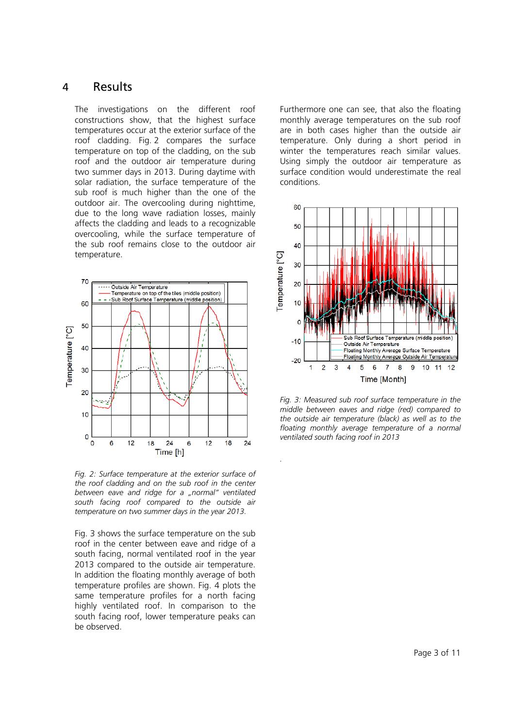### 4 Results

The investigations on the different roof constructions show, that the highest surface temperatures occur at the exterior surface of the roof cladding. Fig. 2 compares the surface temperature on top of the cladding, on the sub roof and the outdoor air temperature during two summer days in 2013. During daytime with solar radiation, the surface temperature of the sub roof is much higher than the one of the outdoor air. The overcooling during nighttime, due to the long wave radiation losses, mainly affects the cladding and leads to a recognizable overcooling, while the surface temperature of the sub roof remains close to the outdoor air temperature.



*Fig. 2: Surface temperature at the exterior surface of the roof cladding and on the sub roof in the center between eave and ridge for a "normal" ventilated south facing roof compared to the outside air temperature on two summer days in the year 2013.*

Fig. 3 shows the surface temperature on the sub roof in the center between eave and ridge of a south facing, normal ventilated roof in the year 2013 compared to the outside air temperature. In addition the floating monthly average of both temperature profiles are shown. Fig. 4 plots the same temperature profiles for a north facing highly ventilated roof. In comparison to the south facing roof, lower temperature peaks can be observed.

Furthermore one can see, that also the floating monthly average temperatures on the sub roof are in both cases higher than the outside air temperature. Only during a short period in winter the temperatures reach similar values. Using simply the outdoor air temperature as surface condition would underestimate the real conditions.



*Fig. 3: Measured sub roof surface temperature in the middle between eaves and ridge (red) compared to the outside air temperature (black) as well as to the floating monthly average temperature of a normal ventilated south facing roof in 2013*

*.*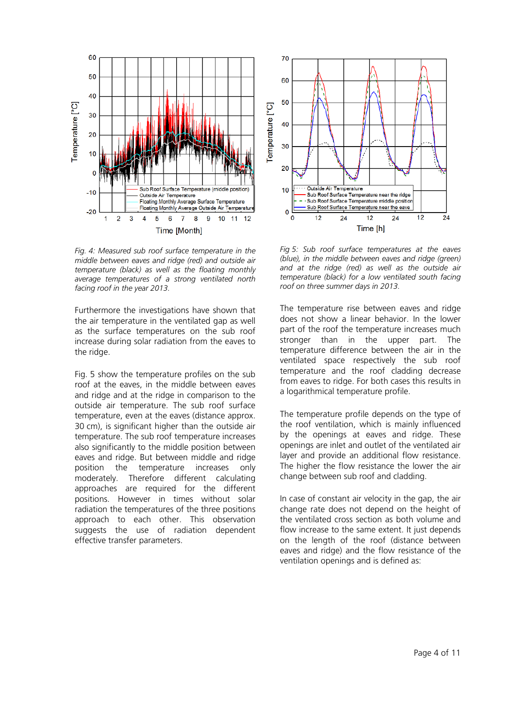

*Fig. 4: Measured sub roof surface temperature in the middle between eaves and ridge (red) and outside air temperature (black) as well as the floating monthly average temperatures of a strong ventilated north facing roof in the year 2013.*

Furthermore the investigations have shown that the air temperature in the ventilated gap as well as the surface temperatures on the sub roof increase during solar radiation from the eaves to the ridge.

Fig. 5 show the temperature profiles on the sub roof at the eaves, in the middle between eaves and ridge and at the ridge in comparison to the outside air temperature. The sub roof surface temperature, even at the eaves (distance approx. 30 cm), is significant higher than the outside air temperature. The sub roof temperature increases also significantly to the middle position between eaves and ridge. But between middle and ridge position the temperature increases only moderately. Therefore different calculating approaches are required for the different positions. However in times without solar radiation the temperatures of the three positions approach to each other. This observation suggests the use of radiation dependent effective transfer parameters.



*Fig 5: Sub roof surface temperatures at the eaves (blue), in the middle between eaves and ridge (green) and at the ridge (red) as well as the outside air temperature (black) for a low ventilated south facing roof on three summer days in 2013.*

The temperature rise between eaves and ridge does not show a linear behavior. In the lower part of the roof the temperature increases much stronger than in the upper part. The temperature difference between the air in the ventilated space respectively the sub roof temperature and the roof cladding decrease from eaves to ridge. For both cases this results in a logarithmical temperature profile.

The temperature profile depends on the type of the roof ventilation, which is mainly influenced by the openings at eaves and ridge. These openings are inlet and outlet of the ventilated air layer and provide an additional flow resistance. The higher the flow resistance the lower the air change between sub roof and cladding.

In case of constant air velocity in the gap, the air change rate does not depend on the height of the ventilated cross section as both volume and flow increase to the same extent. It just depends on the length of the roof (distance between eaves and ridge) and the flow resistance of the ventilation openings and is defined as: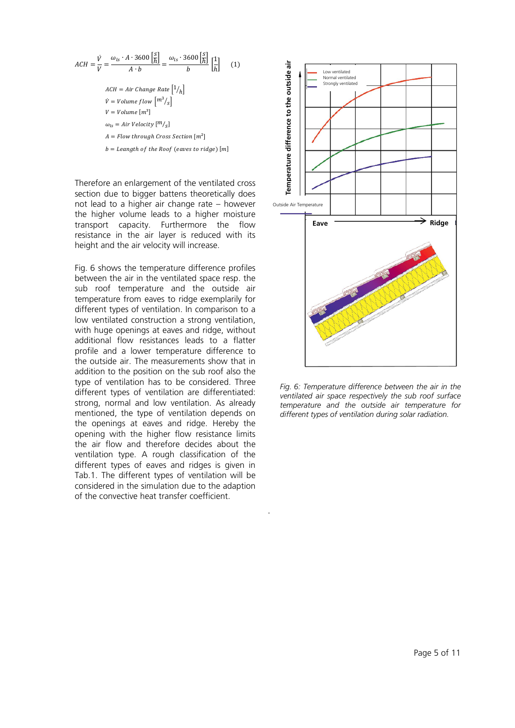$$
ACH = \frac{\dot{V}}{V} = \frac{\omega_{ls} \cdot A \cdot 3600 \left[ \frac{S}{h} \right]}{A \cdot b} = \frac{\omega_{ls} \cdot 3600 \left[ \frac{S}{h} \right]}{b} \left[ \frac{1}{h} \right] \quad (1)
$$
  
ACH = Air Change Rate  $\left[ 1/h \right]$   
 $\dot{V} = Volume flow \left[ m^3 / s \right]$   
 $V = Volume \left[ m^3 \right]$   
 $\omega_{ls} = Air Velocity \left[ m / s \right]$   
A = Flow through Cross Section  $\left[ m^2 \right]$   
b = Leangth of the Roof (eaves to ridge)  $\left[ m \right]$ 

Therefore an enlargement of the ventilated cross section due to bigger battens theoretically does not lead to a higher air change rate – however the higher volume leads to a higher moisture transport capacity. Furthermore the flow resistance in the air layer is reduced with its height and the air velocity will increase.

Fig. 6 shows the temperature difference profiles between the air in the ventilated space resp. the sub roof temperature and the outside air temperature from eaves to ridge exemplarily for different types of ventilation. In comparison to a low ventilated construction a strong ventilation, with huge openings at eaves and ridge, without additional flow resistances leads to a flatter profile and a lower temperature difference to the outside air. The measurements show that in addition to the position on the sub roof also the type of ventilation has to be considered. Three different types of ventilation are differentiated: strong, normal and low ventilation. As already mentioned, the type of ventilation depends on the openings at eaves and ridge. Hereby the opening with the higher flow resistance limits the air flow and therefore decides about the ventilation type. A rough classification of the different types of eaves and ridges is given in Tab.1. The different types of ventilation will be considered in the simulation due to the adaption of the convective heat transfer coefficient.



*Fig. 6: Temperature difference between the air in the ventilated air space respectively the sub roof surface temperature and the outside air temperature for different types of ventilation during solar radiation.*

.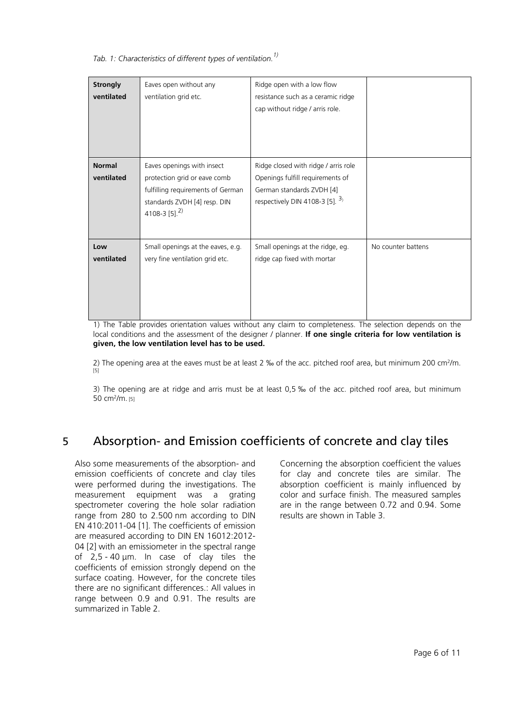<span id="page-5-0"></span>*Tab. 1: Characteristics of different types of ventilation. 1)*

| <b>Strongly</b><br>ventilated | Eaves open without any<br>ventilation grid etc.                                                                                                              | Ridge open with a low flow<br>resistance such as a ceramic ridge<br>cap without ridge / arris role.                                       |                    |
|-------------------------------|--------------------------------------------------------------------------------------------------------------------------------------------------------------|-------------------------------------------------------------------------------------------------------------------------------------------|--------------------|
| <b>Normal</b><br>ventilated   | Eaves openings with insect<br>protection grid or eave comb<br>fulfilling requirements of German<br>standards ZVDH [4] resp. DIN<br>4108-3 [5]. <sup>2)</sup> | Ridge closed with ridge / arris role<br>Openings fulfill requirements of<br>German standards ZVDH [4]<br>respectively DIN 4108-3 [5]. $3$ |                    |
| Low<br>ventilated             | Small openings at the eaves, e.g.<br>very fine ventilation grid etc.                                                                                         | Small openings at the ridge, eg.<br>ridge cap fixed with mortar                                                                           | No counter battens |

1) The Table provides orientation values without any claim to completeness. The selection depends on the local conditions and the assessment of the designer / planner. **If one single criteria for low ventilation is given, the low ventilation level has to be used.**

2) The opening area at the eaves must be at least 2 ‰ of the acc. pitched roof area, but minimum 200 cm<sup>2</sup>/m. [\[5\]](#page-10-1)

3) The opening are at ridge and arris must be at least 0,5 ‰ of the acc. pitched roof area, but minimum 50 cm2/m. [\[5\]](#page-10-1)

# 5 Absorption- and Emission coefficients of concrete and clay tiles

Also some measurements of the absorption- and emission coefficients of concrete and clay tiles were performed during the investigations. The measurement equipment was a grating spectrometer covering the hole solar radiation range from 280 to 2.500 nm according to DIN EN 410:2011-04 [\[1\].](#page-10-2) The coefficients of emission are measured according to DIN EN 16012:2012- 04 [\[2\]](#page-10-3) with an emissiometer in the spectral range of 2,5 - 40 μm. In case of clay tiles the coefficients of emission strongly depend on the surface coating. However, for the concrete tiles there are no significant differences.: All values in range between 0.9 and 0.91. The results are summarized in Table 2.

Concerning the absorption coefficient the values for clay and concrete tiles are similar. The absorption coefficient is mainly influenced by color and surface finish. The measured samples are in the range between 0.72 and 0.94. Some results are shown in Table 3.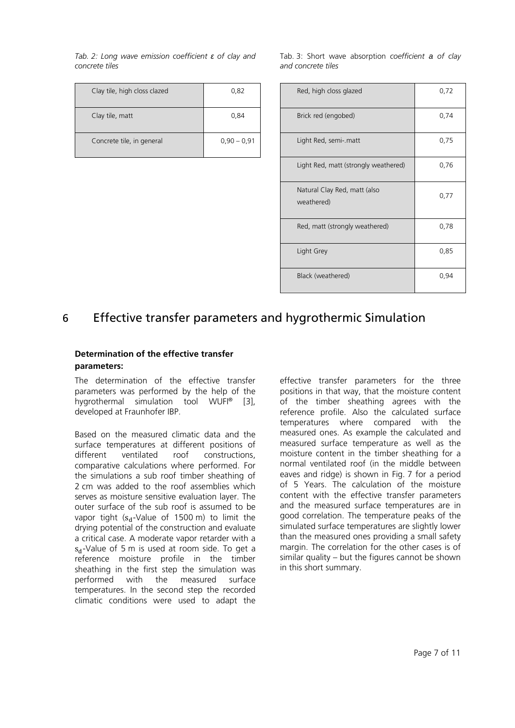*Tab. 2: Long wave emission coefficient ε of clay and concrete tiles*

| Clay tile, high closs clazed | 0,82          |
|------------------------------|---------------|
| Clay tile, matt              | 0,84          |
| Concrete tile, in general    | $0.90 - 0.91$ |

Tab. 3: Short wave absorption *coefficient a of clay and concrete tiles*

| Red, high closs glazed                     | 0,72 |
|--------------------------------------------|------|
| Brick red (engobed)                        | 0,74 |
| Light Red, semi-.matt                      | 0,75 |
| Light Red, matt (strongly weathered)       | 0,76 |
| Natural Clay Red, matt (also<br>weathered) | 0,77 |
| Red, matt (strongly weathered)             | 0,78 |
| Light Grey                                 | 0,85 |
| Black (weathered)                          | 0,94 |

# 6 Effective transfer parameters and hygrothermic Simulation

#### **Determination of the effective transfer parameters:**

The determination of the effective transfer parameters was performed by the help of the hygrothermal simulation tool WUFI® [\[3\]](#page-10-4), developed at Fraunhofer IBP.

Based on the measured climatic data and the surface temperatures at different positions of different ventilated roof constructions, comparative calculations where performed. For the simulations a sub roof timber sheathing of 2 cm was added to the roof assemblies which serves as moisture sensitive evaluation layer. The outer surface of the sub roof is assumed to be vapor tight ( $s_d$ -Value of 1500 m) to limit the drying potential of the construction and evaluate a critical case. A moderate vapor retarder with a  $s_d$ -Value of 5 m is used at room side. To get a reference moisture profile in the timber sheathing in the first step the simulation was performed with the measured surface temperatures. In the second step the recorded climatic conditions were used to adapt the

effective transfer parameters for the three positions in that way, that the moisture content of the timber sheathing agrees with the reference profile. Also the calculated surface temperatures where compared with the measured ones. As example the calculated and measured surface temperature as well as the moisture content in the timber sheathing for a normal ventilated roof (in the middle between eaves and ridge) is shown in Fig. 7 for a period of 5 Years. The calculation of the moisture content with the effective transfer parameters and the measured surface temperatures are in good correlation. The temperature peaks of the simulated surface temperatures are slightly lower than the measured ones providing a small safety margin. The correlation for the other cases is of similar quality – but the figures cannot be shown in this short summary.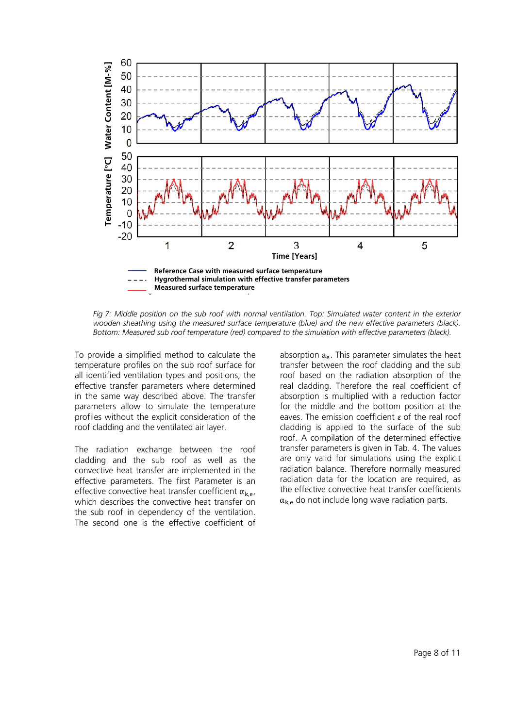

*Fig 7: Middle position on the sub roof with normal ventilation. Top: Simulated water content in the exterior wooden sheathing using the measured surface temperature (blue) and the new effective parameters (black). Bottom: Measured sub roof temperature (red) compared to the simulation with effective parameters (black).*

To provide a simplified method to calculate the temperature profiles on the sub roof surface for all identified ventilation types and positions, the effective transfer parameters where determined in the same way described above. The transfer parameters allow to simulate the temperature profiles without the explicit consideration of the roof cladding and the ventilated air layer.

The radiation exchange between the roof cladding and the sub roof as well as the convective heat transfer are implemented in the effective parameters. The first Parameter is an effective convective heat transfer coefficient  $\alpha_{\mathbf{k}e}$ , which describes the convective heat transfer on the sub roof in dependency of the ventilation. The second one is the effective coefficient of

absorption  $a_{e}$ . This parameter simulates the heat transfer between the roof cladding and the sub roof based on the radiation absorption of the real cladding. Therefore the real coefficient of absorption is multiplied with a reduction factor for the middle and the bottom position at the eaves. The emission coefficient *ε* of the real roof cladding is applied to the surface of the sub roof. A compilation of the determined effective transfer parameters is given in Tab. 4. The values are only valid for simulations using the explicit radiation balance. Therefore normally measured radiation data for the location are required, as the effective convective heat transfer coefficients  $\alpha_{k,e}$  do not include long wave radiation parts.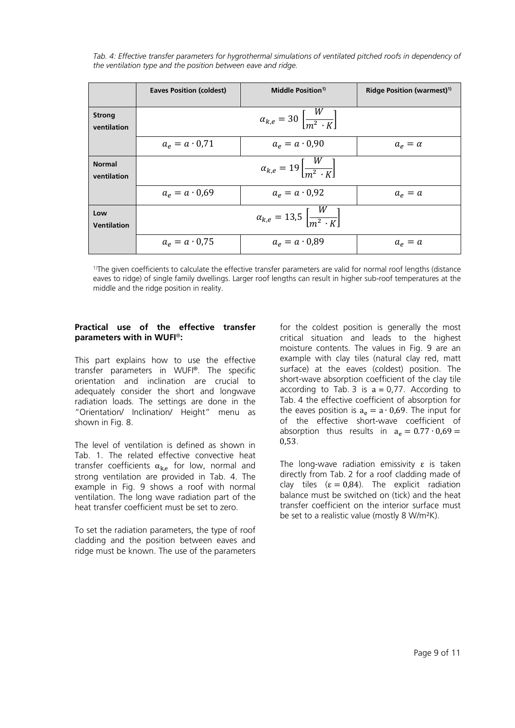<span id="page-8-0"></span>*Tab.* 4: Effective transfer parameters for hygrothermal simulations of ventilated pitched roofs in dependency of *the ventilation type and the position between eave and ridge.*

|                              | <b>Eaves Position (coldest)</b>                          | Middle Position <sup>1)</sup>                              | Ridge Position (warmest) <sup>1)</sup> |  |
|------------------------------|----------------------------------------------------------|------------------------------------------------------------|----------------------------------------|--|
| <b>Strong</b><br>ventilation | $\alpha_{k,e} = 30 \left  \frac{W}{m^2 \cdot K} \right $ |                                                            |                                        |  |
|                              | $a_e = a \cdot 0.71$                                     | $a_e = a \cdot 0.90$                                       | $a_{\rho} = \alpha$                    |  |
| <b>Normal</b><br>ventilation |                                                          | $\alpha_{k,e} = 19 \left  \frac{W}{m^2 + K} \right $       |                                        |  |
|                              | $a_e = a \cdot 0.69$                                     | $a_e = a \cdot 0.92$                                       | $a_e = a$                              |  |
| Low<br><b>Ventilation</b>    |                                                          | $\alpha_{k,e} = 13.5 \left[ \frac{W}{m^2 \cdot K} \right]$ |                                        |  |
|                              | $a_e = a \cdot 0.75$                                     | $a_e = a \cdot 0.89$                                       | $a_e = a$                              |  |

<sup>1)</sup>The given coefficients to calculate the effective transfer parameters are valid for normal roof lengths (distance eaves to ridge) of single family dwellings. Larger roof lengths can result in higher sub-roof temperatures at the middle and the ridge position in reality.

#### **Practical use of the effective transfer parameters with in WUFI**®**:**

This part explains how to use the effective transfer parameters in WUFI®. The specific orientation and inclination are crucial to adequately consider the short and longwave radiation loads. The settings are done in the "Orientation/ Inclination/ Height" menu as shown in Fig. 8.

The level of ventilation is defined as shown in [Tab. 1.](#page-5-0) The related effective convective heat transfer coefficients  $\alpha_{k,e}$  for low, normal and strong ventilation are provided in [Tab. 4.](#page-8-0) The example in Fig. 9 shows a roof with normal ventilation. The long wave radiation part of the heat transfer coefficient must be set to zero.

To set the radiation parameters, the type of roof cladding and the position between eaves and ridge must be known. The use of the parameters for the coldest position is generally the most critical situation and leads to the highest moisture contents. The values in Fig. 9 are an example with clay tiles (natural clay red, matt surface) at the eaves (coldest) position. The short-wave absorption coefficient of the clay tile according to Tab. 3 is  $a = 0.77$ . According to Tab. 4 the effective coefficient of absorption for the eaves position is  $a_e = a \cdot 0.69$ . The input for of the effective short-wave coefficient of absorption thus results in  $a_e = 0.77 \cdot 0.69 =$ 0,53.

The long-wave radiation emissivity  $\varepsilon$  is taken directly from Tab. 2 for a roof cladding made of clay tiles ( $\varepsilon = 0.84$ ). The explicit radiation balance must be switched on (tick) and the heat transfer coefficient on the interior surface must be set to a realistic value (mostly 8 W/m²K).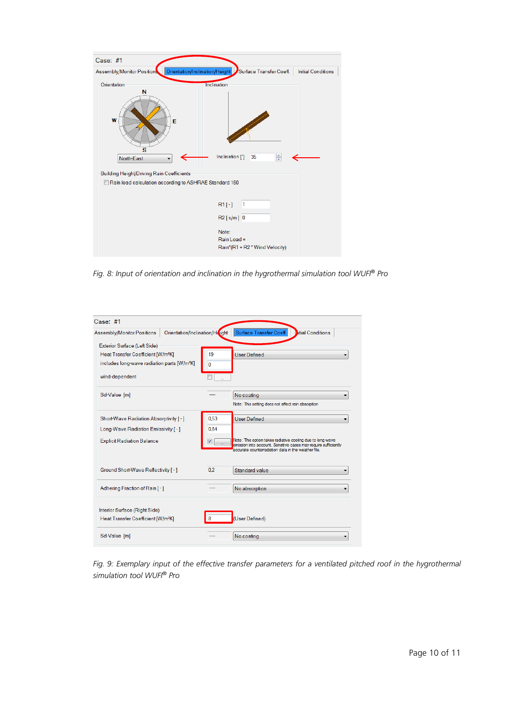| Case: #1                                                                                                                      |                                                                                     |
|-------------------------------------------------------------------------------------------------------------------------------|-------------------------------------------------------------------------------------|
| Assembly/Monitor Position                                                                                                     | Orientation/Inclination/Height Surface Transfer Coeff.<br><b>Initial Conditions</b> |
| Orientation<br>N<br>W<br>E                                                                                                    | Inclination                                                                         |
| s<br>North-East<br><b>Building Height/Driving Rain Coefficients</b><br>Rain load calculation according to ASHRAE Standard 160 | $\div$<br>Inclination [*]<br>35                                                     |
|                                                                                                                               |                                                                                     |
|                                                                                                                               | $R1$ [-]<br>$\vert$ 1                                                               |
|                                                                                                                               | $R2$ [s/m] 0                                                                        |
|                                                                                                                               | Note:<br>Rain Load =<br>Rain*(R1 + R2 * Wind Velocity)                              |

*Fig. 8: Input of orientation and inclination in the hygrothermal simulation tool WUFI*® *Pro*

| Case: #1                                                                        |                |                                                                                                                                                                                     |  |  |
|---------------------------------------------------------------------------------|----------------|-------------------------------------------------------------------------------------------------------------------------------------------------------------------------------------|--|--|
| Orientation/Inclination/Hegght<br><b>Assembly/Monitor Positions</b>             |                | Surface Transfer Coeff.<br><b>Ditial Conditions</b>                                                                                                                                 |  |  |
| Exterior Surface (Left Side)                                                    |                |                                                                                                                                                                                     |  |  |
| Heat Transfer Coefficient [W/m <sup>2</sup> K]                                  | 19             | <b>User Defined</b>                                                                                                                                                                 |  |  |
| includes long-wave radiation parts [W/m <sup>2</sup> K]                         | 0              |                                                                                                                                                                                     |  |  |
| wind-dependent                                                                  |                |                                                                                                                                                                                     |  |  |
| Sd-Value [m]                                                                    |                | No coating                                                                                                                                                                          |  |  |
|                                                                                 |                | Note: This setting does not affect rain absorption                                                                                                                                  |  |  |
| Short-Wave Radiation Absorptivity [ - ]                                         | 0.53           | User Defined                                                                                                                                                                        |  |  |
| Long-Wave Radiation Emissivity [ - ]                                            | 0.84           |                                                                                                                                                                                     |  |  |
| <b>Explicit Radiation Balance</b>                                               |                | Note: This option takes radiative cooling due to long-wave<br>emission into account. Sensitive cases may require sufficiently<br>accurate counterradiation data in the weather file |  |  |
| Ground Short-Wave Reflectivity [ - ]                                            | 0 <sub>2</sub> | Standard value                                                                                                                                                                      |  |  |
| Adhering Fraction of Rain [-]                                                   |                | No absorption                                                                                                                                                                       |  |  |
|                                                                                 |                |                                                                                                                                                                                     |  |  |
| Interior Surface (Right Side)<br>Heat Transfer Coefficient [W/m <sup>2</sup> K] | 8              | (User Defined)                                                                                                                                                                      |  |  |
| Sd-Value [m]                                                                    |                | No coating                                                                                                                                                                          |  |  |

*Fig. 9: Exemplary input of the effective transfer parameters for a ventilated pitched roof in the hygrothermal simulation tool WUFI*® *Pro*